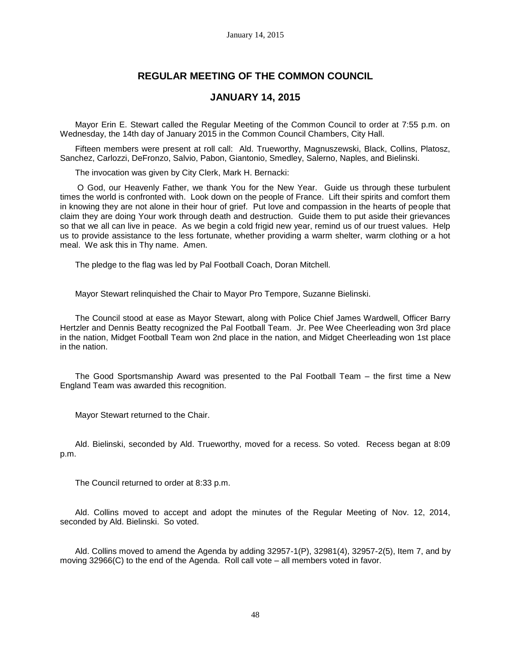# **REGULAR MEETING OF THE COMMON COUNCIL**

# **JANUARY 14, 2015**

Mayor Erin E. Stewart called the Regular Meeting of the Common Council to order at 7:55 p.m. on Wednesday, the 14th day of January 2015 in the Common Council Chambers, City Hall.

Fifteen members were present at roll call: Ald. Trueworthy, Magnuszewski, Black, Collins, Platosz, Sanchez, Carlozzi, DeFronzo, Salvio, Pabon, Giantonio, Smedley, Salerno, Naples, and Bielinski.

The invocation was given by City Clerk, Mark H. Bernacki:

O God, our Heavenly Father, we thank You for the New Year. Guide us through these turbulent times the world is confronted with. Look down on the people of France. Lift their spirits and comfort them in knowing they are not alone in their hour of grief. Put love and compassion in the hearts of people that claim they are doing Your work through death and destruction. Guide them to put aside their grievances so that we all can live in peace. As we begin a cold frigid new year, remind us of our truest values. Help us to provide assistance to the less fortunate, whether providing a warm shelter, warm clothing or a hot meal. We ask this in Thy name. Amen.

The pledge to the flag was led by Pal Football Coach, Doran Mitchell.

Mayor Stewart relinquished the Chair to Mayor Pro Tempore, Suzanne Bielinski.

The Council stood at ease as Mayor Stewart, along with Police Chief James Wardwell, Officer Barry Hertzler and Dennis Beatty recognized the Pal Football Team. Jr. Pee Wee Cheerleading won 3rd place in the nation, Midget Football Team won 2nd place in the nation, and Midget Cheerleading won 1st place in the nation.

The Good Sportsmanship Award was presented to the Pal Football Team – the first time a New England Team was awarded this recognition.

Mayor Stewart returned to the Chair.

Ald. Bielinski, seconded by Ald. Trueworthy, moved for a recess. So voted. Recess began at 8:09 p.m.

The Council returned to order at 8:33 p.m.

Ald. Collins moved to accept and adopt the minutes of the Regular Meeting of Nov. 12, 2014, seconded by Ald. Bielinski. So voted.

Ald. Collins moved to amend the Agenda by adding 32957-1(P), 32981(4), 32957-2(5), Item 7, and by moving 32966(C) to the end of the Agenda. Roll call vote – all members voted in favor.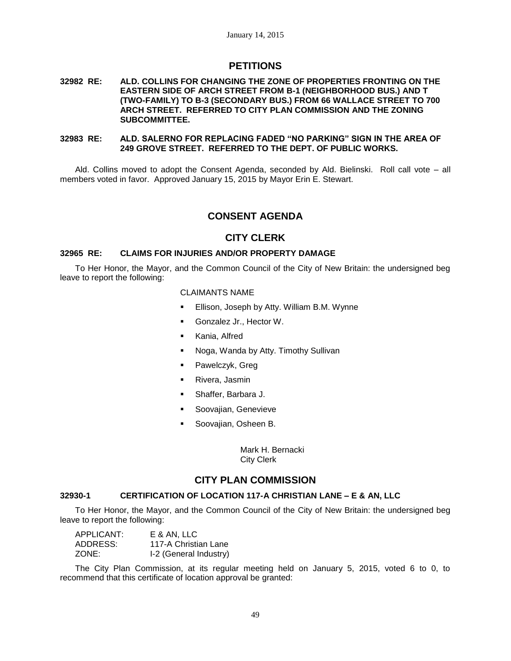# **PETITIONS**

### **32982 RE: ALD. COLLINS FOR CHANGING THE ZONE OF PROPERTIES FRONTING ON THE EASTERN SIDE OF ARCH STREET FROM B-1 (NEIGHBORHOOD BUS.) AND T (TWO-FAMILY) TO B-3 (SECONDARY BUS.) FROM 66 WALLACE STREET TO 700 ARCH STREET. REFERRED TO CITY PLAN COMMISSION AND THE ZONING SUBCOMMITTEE.**

### **32983 RE: ALD. SALERNO FOR REPLACING FADED "NO PARKING" SIGN IN THE AREA OF 249 GROVE STREET. REFERRED TO THE DEPT. OF PUBLIC WORKS.**

Ald. Collins moved to adopt the Consent Agenda, seconded by Ald. Bielinski. Roll call vote – all members voted in favor. Approved January 15, 2015 by Mayor Erin E. Stewart.

# **CONSENT AGENDA**

# **CITY CLERK**

## **32965 RE: CLAIMS FOR INJURIES AND/OR PROPERTY DAMAGE**

To Her Honor, the Mayor, and the Common Council of the City of New Britain: the undersigned beg leave to report the following:

#### CLAIMANTS NAME

- Ellison, Joseph by Atty. William B.M. Wynne
- **Gonzalez Jr., Hector W.**
- Kania, Alfred
- Noga, Wanda by Atty. Timothy Sullivan
- **Pawelczyk, Greg**
- Rivera, Jasmin
- Shaffer, Barbara J.
- Soovajian, Genevieve
- Soovajian, Osheen B.

Mark H. Bernacki City Clerk

# **CITY PLAN COMMISSION**

# **32930-1 CERTIFICATION OF LOCATION 117-A CHRISTIAN LANE – E & AN, LLC**

To Her Honor, the Mayor, and the Common Council of the City of New Britain: the undersigned beg leave to report the following:

| APPLICANT: | E & AN. LLC            |
|------------|------------------------|
| ADDRESS:   | 117-A Christian Lane   |
| ZONE:      | I-2 (General Industry) |

The City Plan Commission, at its regular meeting held on January 5, 2015, voted 6 to 0, to recommend that this certificate of location approval be granted: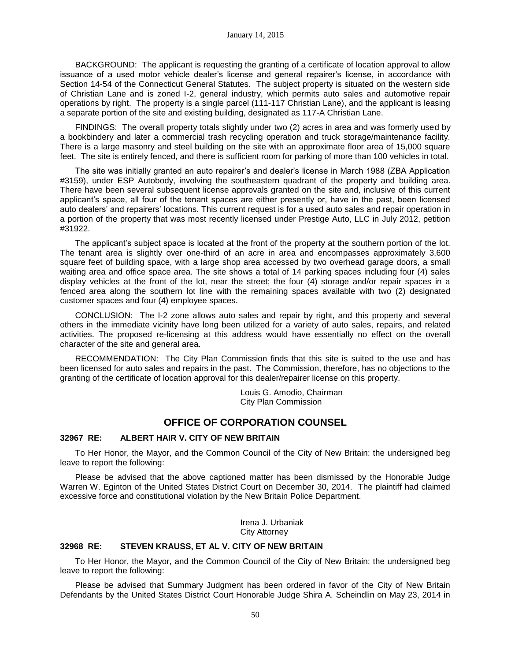BACKGROUND: The applicant is requesting the granting of a certificate of location approval to allow issuance of a used motor vehicle dealer's license and general repairer's license, in accordance with Section 14-54 of the Connecticut General Statutes. The subject property is situated on the western side of Christian Lane and is zoned I-2, general industry, which permits auto sales and automotive repair operations by right. The property is a single parcel (111-117 Christian Lane), and the applicant is leasing a separate portion of the site and existing building, designated as 117-A Christian Lane.

FINDINGS: The overall property totals slightly under two (2) acres in area and was formerly used by a bookbindery and later a commercial trash recycling operation and truck storage/maintenance facility. There is a large masonry and steel building on the site with an approximate floor area of 15,000 square feet. The site is entirely fenced, and there is sufficient room for parking of more than 100 vehicles in total.

The site was initially granted an auto repairer's and dealer's license in March 1988 (ZBA Application #3159), under ESP Autobody, involving the southeastern quadrant of the property and building area. There have been several subsequent license approvals granted on the site and, inclusive of this current applicant's space, all four of the tenant spaces are either presently or, have in the past, been licensed auto dealers' and repairers' locations. This current request is for a used auto sales and repair operation in a portion of the property that was most recently licensed under Prestige Auto, LLC in July 2012, petition #31922.

The applicant's subject space is located at the front of the property at the southern portion of the lot. The tenant area is slightly over one-third of an acre in area and encompasses approximately 3,600 square feet of building space, with a large shop area accessed by two overhead garage doors, a small waiting area and office space area. The site shows a total of 14 parking spaces including four (4) sales display vehicles at the front of the lot, near the street; the four (4) storage and/or repair spaces in a fenced area along the southern lot line with the remaining spaces available with two (2) designated customer spaces and four (4) employee spaces.

CONCLUSION: The I-2 zone allows auto sales and repair by right, and this property and several others in the immediate vicinity have long been utilized for a variety of auto sales, repairs, and related activities. The proposed re-licensing at this address would have essentially no effect on the overall character of the site and general area.

RECOMMENDATION: The City Plan Commission finds that this site is suited to the use and has been licensed for auto sales and repairs in the past. The Commission, therefore, has no objections to the granting of the certificate of location approval for this dealer/repairer license on this property.

> Louis G. Amodio, Chairman City Plan Commission

# **OFFICE OF CORPORATION COUNSEL**

## **32967 RE: ALBERT HAIR V. CITY OF NEW BRITAIN**

To Her Honor, the Mayor, and the Common Council of the City of New Britain: the undersigned beg leave to report the following:

Please be advised that the above captioned matter has been dismissed by the Honorable Judge Warren W. Eginton of the United States District Court on December 30, 2014. The plaintiff had claimed excessive force and constitutional violation by the New Britain Police Department.

> Irena J. Urbaniak City Attorney

#### **32968 RE: STEVEN KRAUSS, ET AL V. CITY OF NEW BRITAIN**

To Her Honor, the Mayor, and the Common Council of the City of New Britain: the undersigned beg leave to report the following:

Please be advised that Summary Judgment has been ordered in favor of the City of New Britain Defendants by the United States District Court Honorable Judge Shira A. Scheindlin on May 23, 2014 in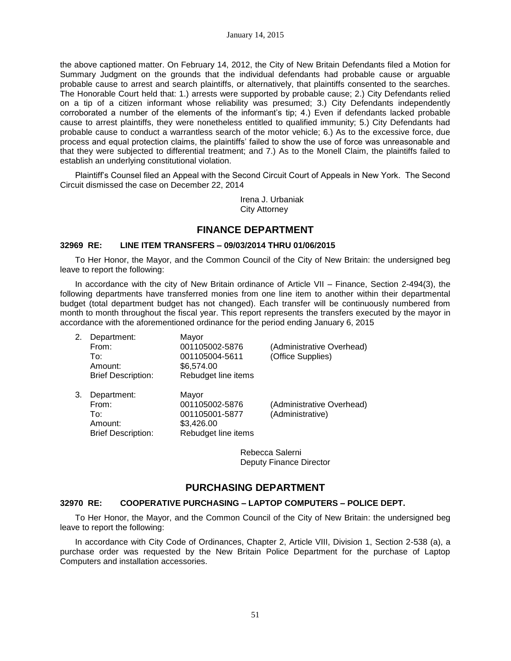the above captioned matter. On February 14, 2012, the City of New Britain Defendants filed a Motion for Summary Judgment on the grounds that the individual defendants had probable cause or arguable probable cause to arrest and search plaintiffs, or alternatively, that plaintiffs consented to the searches. The Honorable Court held that: 1.) arrests were supported by probable cause; 2.) City Defendants relied on a tip of a citizen informant whose reliability was presumed; 3.) City Defendants independently corroborated a number of the elements of the informant's tip; 4.) Even if defendants lacked probable cause to arrest plaintiffs, they were nonetheless entitled to qualified immunity; 5.) City Defendants had probable cause to conduct a warrantless search of the motor vehicle; 6.) As to the excessive force, due process and equal protection claims, the plaintiffs' failed to show the use of force was unreasonable and that they were subjected to differential treatment; and 7.) As to the Monell Claim, the plaintiffs failed to establish an underlying constitutional violation.

Plaintiff's Counsel filed an Appeal with the Second Circuit Court of Appeals in New York. The Second Circuit dismissed the case on December 22, 2014

> Irena J. Urbaniak City Attorney

# **FINANCE DEPARTMENT**

## **32969 RE: LINE ITEM TRANSFERS – 09/03/2014 THRU 01/06/2015**

To Her Honor, the Mayor, and the Common Council of the City of New Britain: the undersigned beg leave to report the following:

In accordance with the city of New Britain ordinance of Article VII – Finance, Section 2-494(3), the following departments have transferred monies from one line item to another within their departmental budget (total department budget has not changed). Each transfer will be continuously numbered from month to month throughout the fiscal year. This report represents the transfers executed by the mayor in accordance with the aforementioned ordinance for the period ending January 6, 2015

| 2. | Department:<br>From:<br>To∶<br>Amount:<br><b>Brief Description:</b> | Mayor<br>001105002-5876<br>001105004-5611<br>\$6,574.00<br>Rebudget line items | (Administrative Overhead)<br>(Office Supplies) |
|----|---------------------------------------------------------------------|--------------------------------------------------------------------------------|------------------------------------------------|
| 3. | Department:<br>From:<br>To∶<br>Amount:<br><b>Brief Description:</b> | Mayor<br>001105002-5876<br>001105001-5877<br>\$3,426.00<br>Rebudget line items | (Administrative Overhead)<br>(Administrative)  |

Rebecca Salerni Deputy Finance Director

# **PURCHASING DEPARTMENT**

## **32970 RE: COOPERATIVE PURCHASING – LAPTOP COMPUTERS – POLICE DEPT.**

To Her Honor, the Mayor, and the Common Council of the City of New Britain: the undersigned beg leave to report the following:

In accordance with City Code of Ordinances, Chapter 2, Article VIII, Division 1, Section 2-538 (a), a purchase order was requested by the New Britain Police Department for the purchase of Laptop Computers and installation accessories.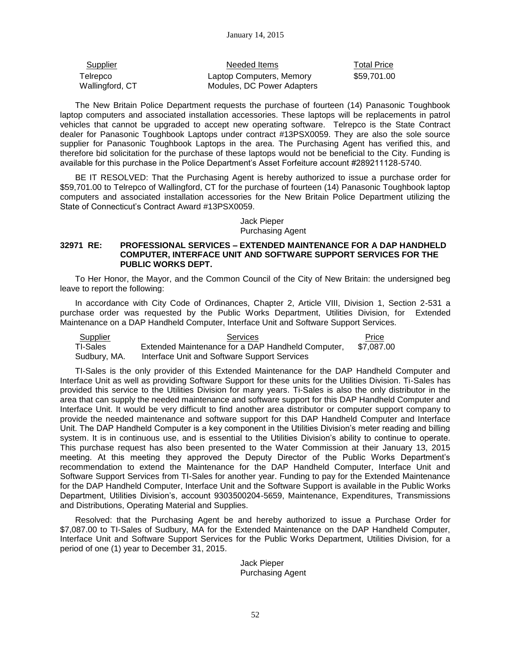| <b>Supplier</b>             | Needed Items                                           | <b>Total Price</b> |
|-----------------------------|--------------------------------------------------------|--------------------|
| Telrepco<br>Wallingford, CT | Laptop Computers, Memory<br>Modules, DC Power Adapters | \$59,701.00        |

The New Britain Police Department requests the purchase of fourteen (14) Panasonic Toughbook laptop computers and associated installation accessories. These laptops will be replacements in patrol vehicles that cannot be upgraded to accept new operating software. Telrepco is the State Contract dealer for Panasonic Toughbook Laptops under contract #13PSX0059. They are also the sole source supplier for Panasonic Toughbook Laptops in the area. The Purchasing Agent has verified this, and therefore bid solicitation for the purchase of these laptops would not be beneficial to the City. Funding is available for this purchase in the Police Department's Asset Forfeiture account #289211128-5740.

BE IT RESOLVED: That the Purchasing Agent is hereby authorized to issue a purchase order for \$59,701.00 to Telrepco of Wallingford, CT for the purchase of fourteen (14) Panasonic Toughbook laptop computers and associated installation accessories for the New Britain Police Department utilizing the State of Connecticut's Contract Award #13PSX0059.

# Jack Pieper Purchasing Agent

### **32971 RE: PROFESSIONAL SERVICES – EXTENDED MAINTENANCE FOR A DAP HANDHELD COMPUTER, INTERFACE UNIT AND SOFTWARE SUPPORT SERVICES FOR THE PUBLIC WORKS DEPT.**

To Her Honor, the Mayor, and the Common Council of the City of New Britain: the undersigned beg leave to report the following:

In accordance with City Code of Ordinances, Chapter 2, Article VIII, Division 1, Section 2-531 a purchase order was requested by the Public Works Department, Utilities Division, for Extended Maintenance on a DAP Handheld Computer, Interface Unit and Software Support Services.

Supplier **Supplier Supplier Price Price Price Price Price Price Price** TI-Sales Extended Maintenance for a DAP Handheld Computer, \$7,087.00 Sudbury, MA. Interface Unit and Software Support Services

TI-Sales is the only provider of this Extended Maintenance for the DAP Handheld Computer and Interface Unit as well as providing Software Support for these units for the Utilities Division. Ti-Sales has provided this service to the Utilities Division for many years. Ti-Sales is also the only distributor in the area that can supply the needed maintenance and software support for this DAP Handheld Computer and Interface Unit. It would be very difficult to find another area distributor or computer support company to provide the needed maintenance and software support for this DAP Handheld Computer and Interface Unit. The DAP Handheld Computer is a key component in the Utilities Division's meter reading and billing system. It is in continuous use, and is essential to the Utilities Division's ability to continue to operate. This purchase request has also been presented to the Water Commission at their January 13, 2015 meeting. At this meeting they approved the Deputy Director of the Public Works Department's recommendation to extend the Maintenance for the DAP Handheld Computer, Interface Unit and Software Support Services from TI-Sales for another year. Funding to pay for the Extended Maintenance for the DAP Handheld Computer, Interface Unit and the Software Support is available in the Public Works Department, Utilities Division's, account 9303500204-5659, Maintenance, Expenditures, Transmissions and Distributions, Operating Material and Supplies.

Resolved: that the Purchasing Agent be and hereby authorized to issue a Purchase Order for \$7,087.00 to TI-Sales of Sudbury, MA for the Extended Maintenance on the DAP Handheld Computer, Interface Unit and Software Support Services for the Public Works Department, Utilities Division, for a period of one (1) year to December 31, 2015.

> Jack Pieper Purchasing Agent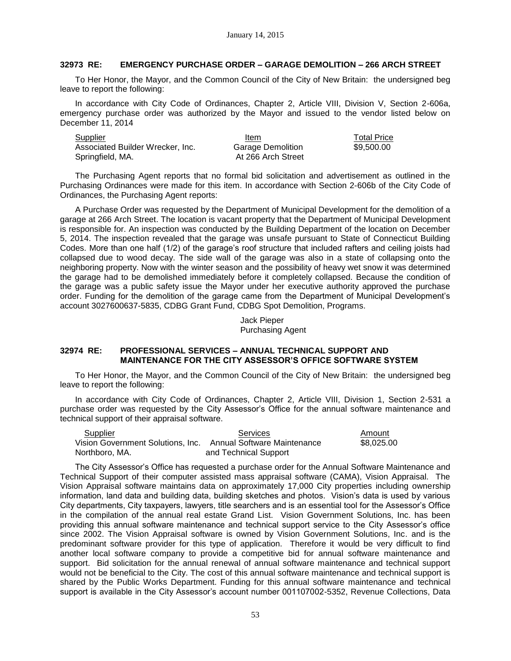# **32973 RE: EMERGENCY PURCHASE ORDER – GARAGE DEMOLITION – 266 ARCH STREET**

To Her Honor, the Mayor, and the Common Council of the City of New Britain: the undersigned beg leave to report the following:

In accordance with City Code of Ordinances, Chapter 2, Article VIII, Division V, Section 2-606a, emergency purchase order was authorized by the Mayor and issued to the vendor listed below on December 11, 2014

Supplier **Item** Item Total Price Associated Builder Wrecker, Inc. Springfield, MA.

Garage Demolition At 266 Arch Street \$9,500.00

The Purchasing Agent reports that no formal bid solicitation and advertisement as outlined in the Purchasing Ordinances were made for this item. In accordance with Section 2-606b of the City Code of Ordinances, the Purchasing Agent reports:

A Purchase Order was requested by the Department of Municipal Development for the demolition of a garage at 266 Arch Street. The location is vacant property that the Department of Municipal Development is responsible for. An inspection was conducted by the Building Department of the location on December 5, 2014. The inspection revealed that the garage was unsafe pursuant to State of Connecticut Building Codes. More than one half (1/2) of the garage's roof structure that included rafters and ceiling joists had collapsed due to wood decay. The side wall of the garage was also in a state of collapsing onto the neighboring property. Now with the winter season and the possibility of heavy wet snow it was determined the garage had to be demolished immediately before it completely collapsed. Because the condition of the garage was a public safety issue the Mayor under her executive authority approved the purchase order. Funding for the demolition of the garage came from the Department of Municipal Development's account 3027600637-5835, CDBG Grant Fund, CDBG Spot Demolition, Programs.

> Jack Pieper Purchasing Agent

## **32974 RE: PROFESSIONAL SERVICES – ANNUAL TECHNICAL SUPPORT AND MAINTENANCE FOR THE CITY ASSESSOR'S OFFICE SOFTWARE SYSTEM**

To Her Honor, the Mayor, and the Common Council of the City of New Britain: the undersigned beg leave to report the following:

In accordance with City Code of Ordinances, Chapter 2, Article VIII, Division 1, Section 2-531 a purchase order was requested by the City Assessor's Office for the annual software maintenance and technical support of their appraisal software.

| Supplier                                                       | <b>Services</b>       | Amount     |
|----------------------------------------------------------------|-----------------------|------------|
| Vision Government Solutions. Inc.  Annual Software Maintenance |                       | \$8.025.00 |
| Northboro, MA.                                                 | and Technical Support |            |

The City Assessor's Office has requested a purchase order for the Annual Software Maintenance and Technical Support of their computer assisted mass appraisal software (CAMA), Vision Appraisal. The Vision Appraisal software maintains data on approximately 17,000 City properties including ownership information, land data and building data, building sketches and photos. Vision's data is used by various City departments, City taxpayers, lawyers, title searchers and is an essential tool for the Assessor's Office in the compilation of the annual real estate Grand List. Vision Government Solutions, Inc. has been providing this annual software maintenance and technical support service to the City Assessor's office since 2002. The Vision Appraisal software is owned by Vision Government Solutions, Inc. and is the predominant software provider for this type of application. Therefore it would be very difficult to find another local software company to provide a competitive bid for annual software maintenance and support. Bid solicitation for the annual renewal of annual software maintenance and technical support would not be beneficial to the City. The cost of this annual software maintenance and technical support is shared by the Public Works Department. Funding for this annual software maintenance and technical support is available in the City Assessor's account number 001107002-5352, Revenue Collections, Data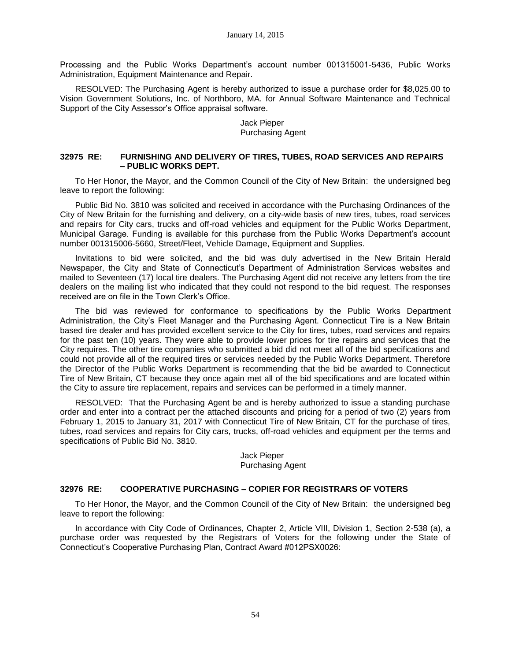Processing and the Public Works Department's account number 001315001-5436, Public Works Administration, Equipment Maintenance and Repair.

RESOLVED: The Purchasing Agent is hereby authorized to issue a purchase order for \$8,025.00 to Vision Government Solutions, Inc. of Northboro, MA. for Annual Software Maintenance and Technical Support of the City Assessor's Office appraisal software.

## Jack Pieper Purchasing Agent

### **32975 RE: FURNISHING AND DELIVERY OF TIRES, TUBES, ROAD SERVICES AND REPAIRS – PUBLIC WORKS DEPT.**

To Her Honor, the Mayor, and the Common Council of the City of New Britain: the undersigned beg leave to report the following:

Public Bid No. 3810 was solicited and received in accordance with the Purchasing Ordinances of the City of New Britain for the furnishing and delivery, on a city-wide basis of new tires, tubes, road services and repairs for City cars, trucks and off-road vehicles and equipment for the Public Works Department, Municipal Garage. Funding is available for this purchase from the Public Works Department's account number 001315006-5660, Street/Fleet, Vehicle Damage, Equipment and Supplies.

Invitations to bid were solicited, and the bid was duly advertised in the New Britain Herald Newspaper, the City and State of Connecticut's Department of Administration Services websites and mailed to Seventeen (17) local tire dealers. The Purchasing Agent did not receive any letters from the tire dealers on the mailing list who indicated that they could not respond to the bid request. The responses received are on file in the Town Clerk's Office.

The bid was reviewed for conformance to specifications by the Public Works Department Administration, the City's Fleet Manager and the Purchasing Agent. Connecticut Tire is a New Britain based tire dealer and has provided excellent service to the City for tires, tubes, road services and repairs for the past ten (10) years. They were able to provide lower prices for tire repairs and services that the City requires. The other tire companies who submitted a bid did not meet all of the bid specifications and could not provide all of the required tires or services needed by the Public Works Department. Therefore the Director of the Public Works Department is recommending that the bid be awarded to Connecticut Tire of New Britain, CT because they once again met all of the bid specifications and are located within the City to assure tire replacement, repairs and services can be performed in a timely manner.

RESOLVED: That the Purchasing Agent be and is hereby authorized to issue a standing purchase order and enter into a contract per the attached discounts and pricing for a period of two (2) years from February 1, 2015 to January 31, 2017 with Connecticut Tire of New Britain, CT for the purchase of tires, tubes, road services and repairs for City cars, trucks, off-road vehicles and equipment per the terms and specifications of Public Bid No. 3810.

# Jack Pieper Purchasing Agent

## **32976 RE: COOPERATIVE PURCHASING – COPIER FOR REGISTRARS OF VOTERS**

To Her Honor, the Mayor, and the Common Council of the City of New Britain: the undersigned beg leave to report the following:

In accordance with City Code of Ordinances, Chapter 2, Article VIII, Division 1, Section 2-538 (a), a purchase order was requested by the Registrars of Voters for the following under the State of Connecticut's Cooperative Purchasing Plan, Contract Award #012PSX0026: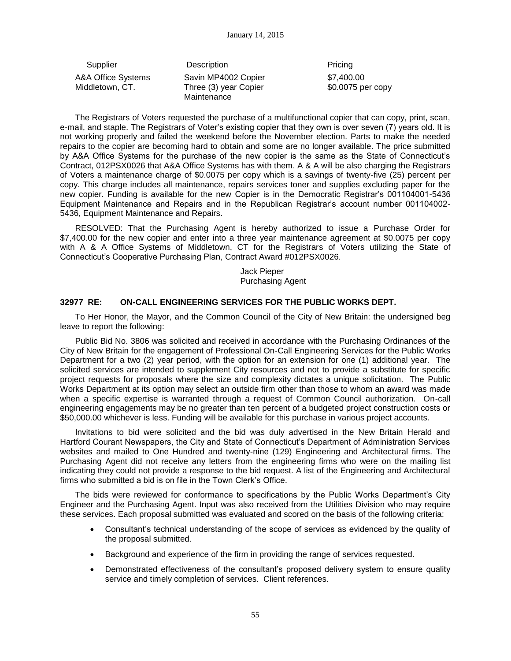Supplier Description Description Pricing A&A Office Systems Middletown, CT.

Savin MP4002 Copier Three (3) year Copier Maintenance

\$7,400.00 \$0.0075 per copy

The Registrars of Voters requested the purchase of a multifunctional copier that can copy, print, scan, e-mail, and staple. The Registrars of Voter's existing copier that they own is over seven (7) years old. It is not working properly and failed the weekend before the November election. Parts to make the needed repairs to the copier are becoming hard to obtain and some are no longer available. The price submitted by A&A Office Systems for the purchase of the new copier is the same as the State of Connecticut's Contract, 012PSX0026 that A&A Office Systems has with them. A & A will be also charging the Registrars of Voters a maintenance charge of \$0.0075 per copy which is a savings of twenty-five (25) percent per copy. This charge includes all maintenance, repairs services toner and supplies excluding paper for the new copier. Funding is available for the new Copier is in the Democratic Registrar's 001104001-5436 Equipment Maintenance and Repairs and in the Republican Registrar's account number 001104002- 5436, Equipment Maintenance and Repairs.

RESOLVED: That the Purchasing Agent is hereby authorized to issue a Purchase Order for \$7,400.00 for the new copier and enter into a three year maintenance agreement at \$0.0075 per copy with A & A Office Systems of Middletown, CT for the Registrars of Voters utilizing the State of Connecticut's Cooperative Purchasing Plan, Contract Award #012PSX0026.

> Jack Pieper Purchasing Agent

# **32977 RE: ON-CALL ENGINEERING SERVICES FOR THE PUBLIC WORKS DEPT.**

To Her Honor, the Mayor, and the Common Council of the City of New Britain: the undersigned beg leave to report the following:

Public Bid No. 3806 was solicited and received in accordance with the Purchasing Ordinances of the City of New Britain for the engagement of Professional On-Call Engineering Services for the Public Works Department for a two (2) year period, with the option for an extension for one (1) additional year. The solicited services are intended to supplement City resources and not to provide a substitute for specific project requests for proposals where the size and complexity dictates a unique solicitation. The Public Works Department at its option may select an outside firm other than those to whom an award was made when a specific expertise is warranted through a request of Common Council authorization. On-call engineering engagements may be no greater than ten percent of a budgeted project construction costs or \$50,000.00 whichever is less. Funding will be available for this purchase in various project accounts.

Invitations to bid were solicited and the bid was duly advertised in the New Britain Herald and Hartford Courant Newspapers, the City and State of Connecticut's Department of Administration Services websites and mailed to One Hundred and twenty-nine (129) Engineering and Architectural firms. The Purchasing Agent did not receive any letters from the engineering firms who were on the mailing list indicating they could not provide a response to the bid request. A list of the Engineering and Architectural firms who submitted a bid is on file in the Town Clerk's Office.

The bids were reviewed for conformance to specifications by the Public Works Department's City Engineer and the Purchasing Agent. Input was also received from the Utilities Division who may require these services. Each proposal submitted was evaluated and scored on the basis of the following criteria:

- Consultant's technical understanding of the scope of services as evidenced by the quality of the proposal submitted.
- Background and experience of the firm in providing the range of services requested.
- Demonstrated effectiveness of the consultant's proposed delivery system to ensure quality service and timely completion of services. Client references.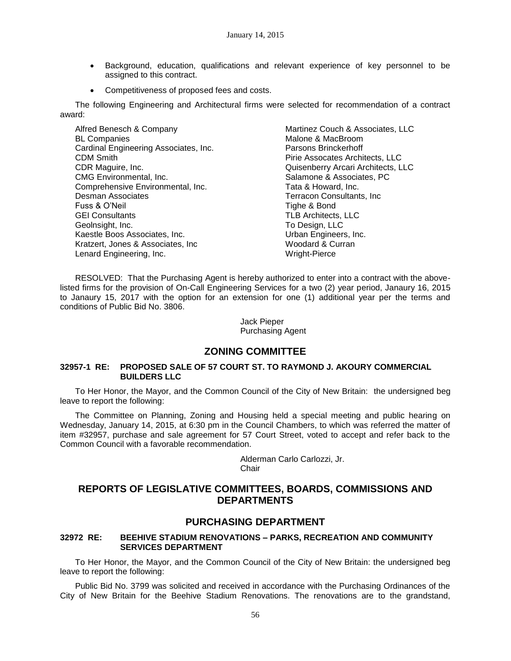- Background, education, qualifications and relevant experience of key personnel to be assigned to this contract.
- Competitiveness of proposed fees and costs.

The following Engineering and Architectural firms were selected for recommendation of a contract award:

| Alfred Benesch & Company              | Martinez Couch & Associates, LLC   |
|---------------------------------------|------------------------------------|
| <b>BL Companies</b>                   | Malone & MacBroom                  |
| Cardinal Engineering Associates, Inc. | Parsons Brinckerhoff               |
| <b>CDM Smith</b>                      | Pirie Assocates Architects, LLC    |
| CDR Maguire, Inc.                     | Quisenberry Arcari Architects, LLC |
| CMG Environmental, Inc.               | Salamone & Associates, PC          |
| Comprehensive Environmental, Inc.     | Tata & Howard, Inc.                |
| Desman Associates                     | Terracon Consultants, Inc.         |
| Fuss & O'Neil                         | Tighe & Bond                       |
| <b>GEI Consultants</b>                | <b>TLB Architects, LLC</b>         |
| Geolnsight, Inc.                      | To Design, LLC                     |
| Kaestle Boos Associates, Inc.         | Urban Engineers, Inc.              |
| Kratzert, Jones & Associates, Inc.    | Woodard & Curran                   |
| Lenard Engineering, Inc.              | Wright-Pierce                      |

RESOLVED: That the Purchasing Agent is hereby authorized to enter into a contract with the abovelisted firms for the provision of On-Call Engineering Services for a two (2) year period, Janaury 16, 2015 to Janaury 15, 2017 with the option for an extension for one (1) additional year per the terms and conditions of Public Bid No. 3806.

> Jack Pieper Purchasing Agent

# **ZONING COMMITTEE**

## **32957-1 RE: PROPOSED SALE OF 57 COURT ST. TO RAYMOND J. AKOURY COMMERCIAL BUILDERS LLC**

To Her Honor, the Mayor, and the Common Council of the City of New Britain: the undersigned beg leave to report the following:

The Committee on Planning, Zoning and Housing held a special meeting and public hearing on Wednesday, January 14, 2015, at 6:30 pm in the Council Chambers, to which was referred the matter of item #32957, purchase and sale agreement for 57 Court Street, voted to accept and refer back to the Common Council with a favorable recommendation.

> Alderman Carlo Carlozzi, Jr. **Chair**

# **REPORTS OF LEGISLATIVE COMMITTEES, BOARDS, COMMISSIONS AND DEPARTMENTS**

# **PURCHASING DEPARTMENT**

#### **32972 RE: BEEHIVE STADIUM RENOVATIONS – PARKS, RECREATION AND COMMUNITY SERVICES DEPARTMENT**

To Her Honor, the Mayor, and the Common Council of the City of New Britain: the undersigned beg leave to report the following:

Public Bid No. 3799 was solicited and received in accordance with the Purchasing Ordinances of the City of New Britain for the Beehive Stadium Renovations. The renovations are to the grandstand,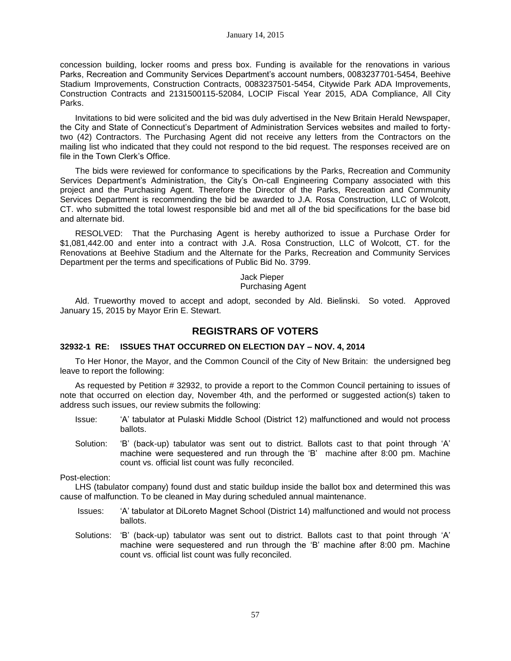concession building, locker rooms and press box. Funding is available for the renovations in various Parks, Recreation and Community Services Department's account numbers, 0083237701-5454, Beehive Stadium Improvements, Construction Contracts, 0083237501-5454, Citywide Park ADA Improvements, Construction Contracts and 2131500115-52084, LOCIP Fiscal Year 2015, ADA Compliance, All City Parks.

Invitations to bid were solicited and the bid was duly advertised in the New Britain Herald Newspaper, the City and State of Connecticut's Department of Administration Services websites and mailed to fortytwo (42) Contractors. The Purchasing Agent did not receive any letters from the Contractors on the mailing list who indicated that they could not respond to the bid request. The responses received are on file in the Town Clerk's Office.

The bids were reviewed for conformance to specifications by the Parks, Recreation and Community Services Department's Administration, the City's On-call Engineering Company associated with this project and the Purchasing Agent. Therefore the Director of the Parks, Recreation and Community Services Department is recommending the bid be awarded to J.A. Rosa Construction, LLC of Wolcott, CT. who submitted the total lowest responsible bid and met all of the bid specifications for the base bid and alternate bid.

RESOLVED: That the Purchasing Agent is hereby authorized to issue a Purchase Order for \$1,081,442.00 and enter into a contract with J.A. Rosa Construction, LLC of Wolcott, CT. for the Renovations at Beehive Stadium and the Alternate for the Parks, Recreation and Community Services Department per the terms and specifications of Public Bid No. 3799.

> Jack Pieper Purchasing Agent

Ald. Trueworthy moved to accept and adopt, seconded by Ald. Bielinski. So voted. Approved January 15, 2015 by Mayor Erin E. Stewart.

# **REGISTRARS OF VOTERS**

## **32932-1 RE: ISSUES THAT OCCURRED ON ELECTION DAY – NOV. 4, 2014**

To Her Honor, the Mayor, and the Common Council of the City of New Britain: the undersigned beg leave to report the following:

As requested by Petition # 32932, to provide a report to the Common Council pertaining to issues of note that occurred on election day, November 4th, and the performed or suggested action(s) taken to address such issues, our review submits the following:

- Issue: 'A' tabulator at Pulaski Middle School (District 12) malfunctioned and would not process ballots.
- Solution: 'B' (back-up) tabulator was sent out to district. Ballots cast to that point through 'A' machine were sequestered and run through the 'B' machine after 8:00 pm. Machine count vs. official list count was fully reconciled.

Post-election:

LHS (tabulator company) found dust and static buildup inside the ballot box and determined this was cause of malfunction. To be cleaned in May during scheduled annual maintenance.

- Issues: 'A' tabulator at DiLoreto Magnet School (District 14) malfunctioned and would not process ballots.
- Solutions: 'B' (back-up) tabulator was sent out to district. Ballots cast to that point through 'A' machine were sequestered and run through the 'B' machine after 8:00 pm. Machine count vs. official list count was fully reconciled.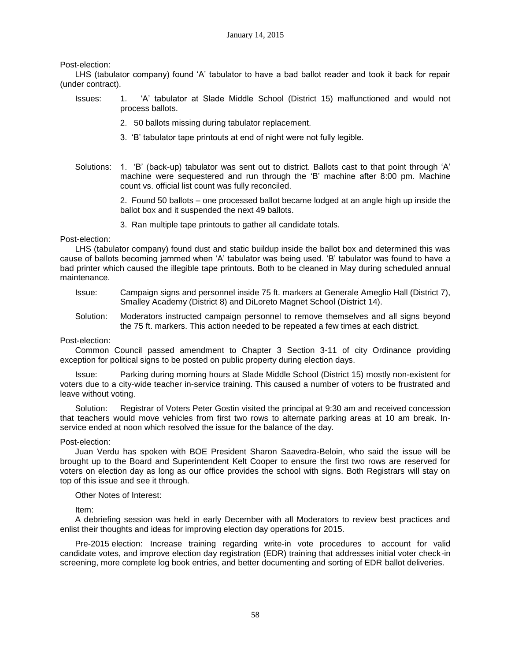Post-election:

LHS (tabulator company) found 'A' tabulator to have a bad ballot reader and took it back for repair (under contract).

- Issues: 1. 'A' tabulator at Slade Middle School (District 15) malfunctioned and would not process ballots.
	- 2. 50 ballots missing during tabulator replacement.
	- 3. 'B' tabulator tape printouts at end of night were not fully legible.
- Solutions: 1. 'B' (back-up) tabulator was sent out to district. Ballots cast to that point through 'A' machine were sequestered and run through the 'B' machine after 8:00 pm. Machine count vs. official list count was fully reconciled.

2. Found 50 ballots – one processed ballot became lodged at an angle high up inside the ballot box and it suspended the next 49 ballots.

3. Ran multiple tape printouts to gather all candidate totals.

Post-election:

LHS (tabulator company) found dust and static buildup inside the ballot box and determined this was cause of ballots becoming jammed when 'A' tabulator was being used. 'B' tabulator was found to have a bad printer which caused the illegible tape printouts. Both to be cleaned in May during scheduled annual maintenance.

- Issue: Campaign signs and personnel inside 75 ft. markers at Generale Ameglio Hall (District 7), Smalley Academy (District 8) and DiLoreto Magnet School (District 14).
- Solution: Moderators instructed campaign personnel to remove themselves and all signs beyond the 75 ft. markers. This action needed to be repeated a few times at each district.

## Post-election:

Common Council passed amendment to Chapter 3 Section 3-11 of city Ordinance providing exception for political signs to be posted on public property during election days.

Issue: Parking during morning hours at Slade Middle School (District 15) mostly non-existent for voters due to a city-wide teacher in-service training. This caused a number of voters to be frustrated and leave without voting.

Solution: Registrar of Voters Peter Gostin visited the principal at 9:30 am and received concession that teachers would move vehicles from first two rows to alternate parking areas at 10 am break. Inservice ended at noon which resolved the issue for the balance of the day.

## Post-election:

Juan Verdu has spoken with BOE President Sharon Saavedra-Beloin, who said the issue will be brought up to the Board and Superintendent Kelt Cooper to ensure the first two rows are reserved for voters on election day as long as our office provides the school with signs. Both Registrars will stay on top of this issue and see it through.

# Other Notes of Interest:

Item:

A debriefing session was held in early December with all Moderators to review best practices and enlist their thoughts and ideas for improving election day operations for 2015.

Pre-2015 election: Increase training regarding write-in vote procedures to account for valid candidate votes, and improve election day registration (EDR) training that addresses initial voter check-in screening, more complete log book entries, and better documenting and sorting of EDR ballot deliveries.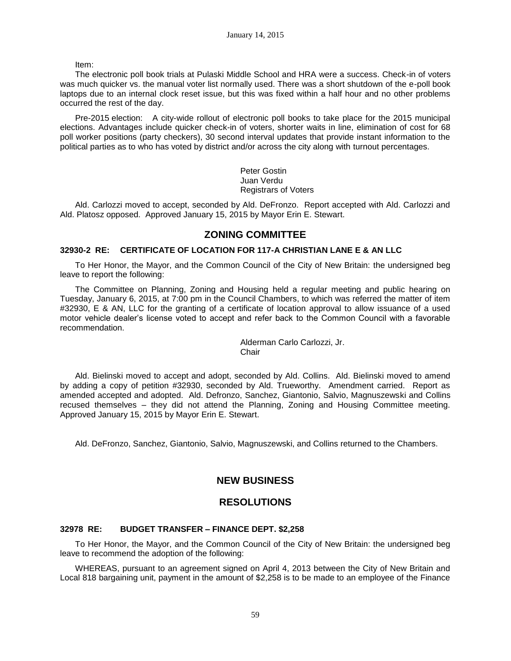Item:

The electronic poll book trials at Pulaski Middle School and HRA were a success. Check-in of voters was much quicker vs. the manual voter list normally used. There was a short shutdown of the e-poll book laptops due to an internal clock reset issue, but this was fixed within a half hour and no other problems occurred the rest of the day.

Pre-2015 election: A city-wide rollout of electronic poll books to take place for the 2015 municipal elections. Advantages include quicker check-in of voters, shorter waits in line, elimination of cost for 68 poll worker positions (party checkers), 30 second interval updates that provide instant information to the political parties as to who has voted by district and/or across the city along with turnout percentages.

> Peter Gostin Juan Verdu Registrars of Voters

Ald. Carlozzi moved to accept, seconded by Ald. DeFronzo. Report accepted with Ald. Carlozzi and Ald. Platosz opposed. Approved January 15, 2015 by Mayor Erin E. Stewart.

# **ZONING COMMITTEE**

# **32930-2 RE: CERTIFICATE OF LOCATION FOR 117-A CHRISTIAN LANE E & AN LLC**

To Her Honor, the Mayor, and the Common Council of the City of New Britain: the undersigned beg leave to report the following:

The Committee on Planning, Zoning and Housing held a regular meeting and public hearing on Tuesday, January 6, 2015, at 7:00 pm in the Council Chambers, to which was referred the matter of item #32930, E & AN, LLC for the granting of a certificate of location approval to allow issuance of a used motor vehicle dealer's license voted to accept and refer back to the Common Council with a favorable recommendation.

> Alderman Carlo Carlozzi, Jr. **Chair**

Ald. Bielinski moved to accept and adopt, seconded by Ald. Collins. Ald. Bielinski moved to amend by adding a copy of petition #32930, seconded by Ald. Trueworthy. Amendment carried. Report as amended accepted and adopted. Ald. Defronzo, Sanchez, Giantonio, Salvio, Magnuszewski and Collins recused themselves – they did not attend the Planning, Zoning and Housing Committee meeting. Approved January 15, 2015 by Mayor Erin E. Stewart.

Ald. DeFronzo, Sanchez, Giantonio, Salvio, Magnuszewski, and Collins returned to the Chambers.

# **NEW BUSINESS**

# **RESOLUTIONS**

## **32978 RE: BUDGET TRANSFER – FINANCE DEPT. \$2,258**

To Her Honor, the Mayor, and the Common Council of the City of New Britain: the undersigned beg leave to recommend the adoption of the following:

WHEREAS, pursuant to an agreement signed on April 4, 2013 between the City of New Britain and Local 818 bargaining unit, payment in the amount of \$2,258 is to be made to an employee of the Finance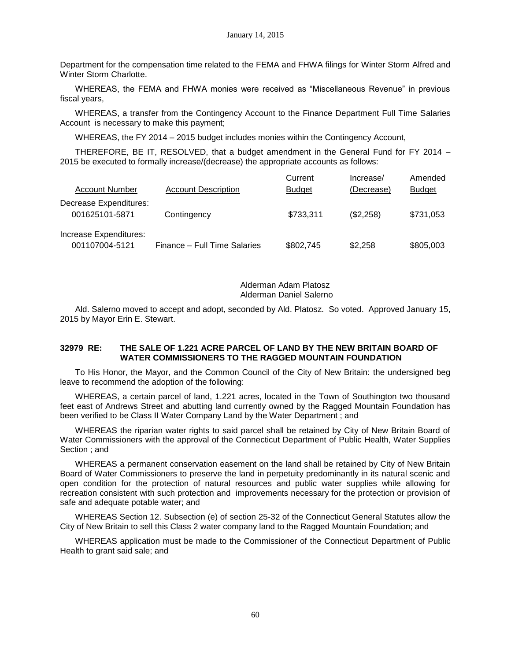Department for the compensation time related to the FEMA and FHWA filings for Winter Storm Alfred and Winter Storm Charlotte.

WHEREAS, the FEMA and FHWA monies were received as "Miscellaneous Revenue" in previous fiscal years,

WHEREAS, a transfer from the Contingency Account to the Finance Department Full Time Salaries Account is necessary to make this payment;

WHEREAS, the FY 2014 - 2015 budget includes monies within the Contingency Account,

THEREFORE, BE IT, RESOLVED, that a budget amendment in the General Fund for FY 2014 – 2015 be executed to formally increase/(decrease) the appropriate accounts as follows:

|                                          |                              | Current       | Increase/  | Amended       |
|------------------------------------------|------------------------------|---------------|------------|---------------|
| <b>Account Number</b>                    | <b>Account Description</b>   | <b>Budget</b> | (Decrease) | <b>Budget</b> |
| Decrease Expenditures:<br>001625101-5871 | Contingency                  | \$733,311     | (\$2,258)  | \$731,053     |
| Increase Expenditures:<br>001107004-5121 | Finance - Full Time Salaries | \$802,745     | \$2,258    | \$805,003     |

Alderman Adam Platosz Alderman Daniel Salerno

Ald. Salerno moved to accept and adopt, seconded by Ald. Platosz. So voted. Approved January 15, 2015 by Mayor Erin E. Stewart.

## **32979 RE: THE SALE OF 1.221 ACRE PARCEL OF LAND BY THE NEW BRITAIN BOARD OF WATER COMMISSIONERS TO THE RAGGED MOUNTAIN FOUNDATION**

To His Honor, the Mayor, and the Common Council of the City of New Britain: the undersigned beg leave to recommend the adoption of the following:

WHEREAS, a certain parcel of land, 1.221 acres, located in the Town of Southington two thousand feet east of Andrews Street and abutting land currently owned by the Ragged Mountain Foundation has been verified to be Class II Water Company Land by the Water Department ; and

WHEREAS the riparian water rights to said parcel shall be retained by City of New Britain Board of Water Commissioners with the approval of the Connecticut Department of Public Health, Water Supplies Section ; and

WHEREAS a permanent conservation easement on the land shall be retained by City of New Britain Board of Water Commissioners to preserve the land in perpetuity predominantly in its natural scenic and open condition for the protection of natural resources and public water supplies while allowing for recreation consistent with such protection and improvements necessary for the protection or provision of safe and adequate potable water; and

WHEREAS Section 12. Subsection (e) of section 25-32 of the Connecticut General Statutes allow the City of New Britain to sell this Class 2 water company land to the Ragged Mountain Foundation; and

WHEREAS application must be made to the Commissioner of the Connecticut Department of Public Health to grant said sale; and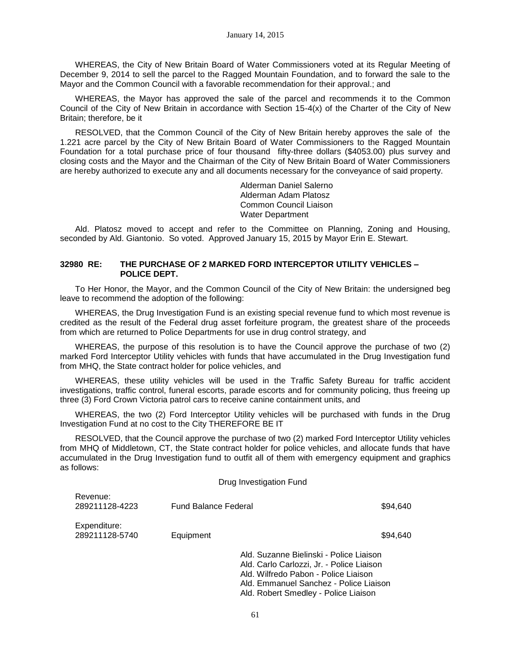WHEREAS, the City of New Britain Board of Water Commissioners voted at its Regular Meeting of December 9, 2014 to sell the parcel to the Ragged Mountain Foundation, and to forward the sale to the Mayor and the Common Council with a favorable recommendation for their approval.; and

WHEREAS, the Mayor has approved the sale of the parcel and recommends it to the Common Council of the City of New Britain in accordance with Section 15-4(x) of the Charter of the City of New Britain; therefore, be it

RESOLVED, that the Common Council of the City of New Britain hereby approves the sale of the 1.221 acre parcel by the City of New Britain Board of Water Commissioners to the Ragged Mountain Foundation for a total purchase price of four thousand fifty-three dollars (\$4053.00) plus survey and closing costs and the Mayor and the Chairman of the City of New Britain Board of Water Commissioners are hereby authorized to execute any and all documents necessary for the conveyance of said property.

> Alderman Daniel Salerno Alderman Adam Platosz Common Council Liaison Water Department

Ald. Platosz moved to accept and refer to the Committee on Planning, Zoning and Housing, seconded by Ald. Giantonio. So voted. Approved January 15, 2015 by Mayor Erin E. Stewart.

## **32980 RE: THE PURCHASE OF 2 MARKED FORD INTERCEPTOR UTILITY VEHICLES – POLICE DEPT.**

To Her Honor, the Mayor, and the Common Council of the City of New Britain: the undersigned beg leave to recommend the adoption of the following:

WHEREAS, the Drug Investigation Fund is an existing special revenue fund to which most revenue is credited as the result of the Federal drug asset forfeiture program, the greatest share of the proceeds from which are returned to Police Departments for use in drug control strategy, and

WHEREAS, the purpose of this resolution is to have the Council approve the purchase of two (2) marked Ford Interceptor Utility vehicles with funds that have accumulated in the Drug Investigation fund from MHQ, the State contract holder for police vehicles, and

WHEREAS, these utility vehicles will be used in the Traffic Safety Bureau for traffic accident investigations, traffic control, funeral escorts, parade escorts and for community policing, thus freeing up three (3) Ford Crown Victoria patrol cars to receive canine containment units, and

WHEREAS, the two (2) Ford Interceptor Utility vehicles will be purchased with funds in the Drug Investigation Fund at no cost to the City THEREFORE BE IT

RESOLVED, that the Council approve the purchase of two (2) marked Ford Interceptor Utility vehicles from MHQ of Middletown, CT, the State contract holder for police vehicles, and allocate funds that have accumulated in the Drug Investigation fund to outfit all of them with emergency equipment and graphics as follows:

#### Drug Investigation Fund

| Revenue:                       |                             |                                                                                                                              |
|--------------------------------|-----------------------------|------------------------------------------------------------------------------------------------------------------------------|
| 289211128-4223                 | <b>Fund Balance Federal</b> | \$94.640                                                                                                                     |
| Expenditure:<br>289211128-5740 | Equipment                   | \$94.640                                                                                                                     |
|                                |                             | Ald. Suzanne Bielinski - Police Liaison<br>Ald. Carlo Carlozzi, Jr. - Police Liaison<br>Ald. Wilfredo Pabon - Police Liaison |

61

Ald. Emmanuel Sanchez - Police Liaison Ald. Robert Smedley - Police Liaison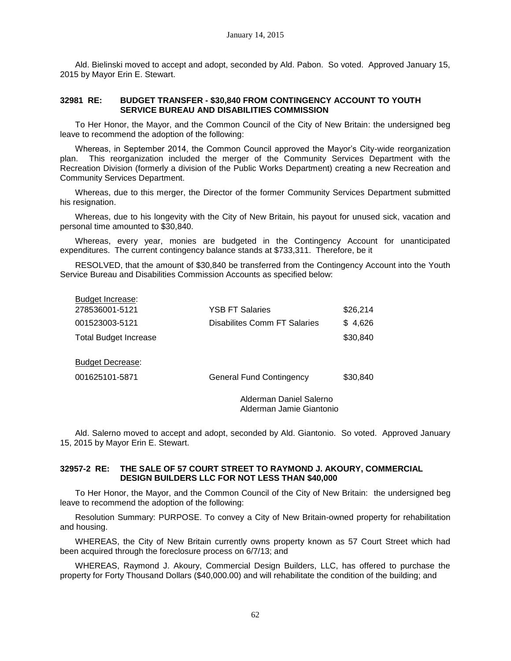Ald. Bielinski moved to accept and adopt, seconded by Ald. Pabon. So voted. Approved January 15, 2015 by Mayor Erin E. Stewart.

# **32981 RE: BUDGET TRANSFER - \$30,840 FROM CONTINGENCY ACCOUNT TO YOUTH SERVICE BUREAU AND DISABILITIES COMMISSION**

To Her Honor, the Mayor, and the Common Council of the City of New Britain: the undersigned beg leave to recommend the adoption of the following:

Whereas, in September 2014, the Common Council approved the Mayor's City-wide reorganization plan. This reorganization included the merger of the Community Services Department with the Recreation Division (formerly a division of the Public Works Department) creating a new Recreation and Community Services Department.

Whereas, due to this merger, the Director of the former Community Services Department submitted his resignation.

Whereas, due to his longevity with the City of New Britain, his payout for unused sick, vacation and personal time amounted to \$30,840.

Whereas, every year, monies are budgeted in the Contingency Account for unanticipated expenditures. The current contingency balance stands at \$733,311. Therefore, be it

RESOLVED, that the amount of \$30,840 be transferred from the Contingency Account into the Youth Service Bureau and Disabilities Commission Accounts as specified below:

| Budget Increase:<br>278536001-5121        | <b>YSB FT Salaries</b>                              | \$26,214 |
|-------------------------------------------|-----------------------------------------------------|----------|
| 001523003-5121                            | Disabilites Comm FT Salaries                        | \$4,626  |
| <b>Total Budget Increase</b>              |                                                     | \$30,840 |
| <b>Budget Decrease:</b><br>001625101-5871 | <b>General Fund Contingency</b>                     | \$30,840 |
|                                           | Alderman Daniel Salerno<br>Alderman Jamie Giantonio |          |

Ald. Salerno moved to accept and adopt, seconded by Ald. Giantonio. So voted. Approved January 15, 2015 by Mayor Erin E. Stewart.

# **32957-2 RE: THE SALE OF 57 COURT STREET TO RAYMOND J. AKOURY, COMMERCIAL DESIGN BUILDERS LLC FOR NOT LESS THAN \$40,000**

To Her Honor, the Mayor, and the Common Council of the City of New Britain: the undersigned beg leave to recommend the adoption of the following:

Resolution Summary: PURPOSE. To convey a City of New Britain-owned property for rehabilitation and housing.

WHEREAS, the City of New Britain currently owns property known as 57 Court Street which had been acquired through the foreclosure process on 6/7/13; and

WHEREAS, Raymond J. Akoury, Commercial Design Builders, LLC, has offered to purchase the property for Forty Thousand Dollars (\$40,000.00) and will rehabilitate the condition of the building; and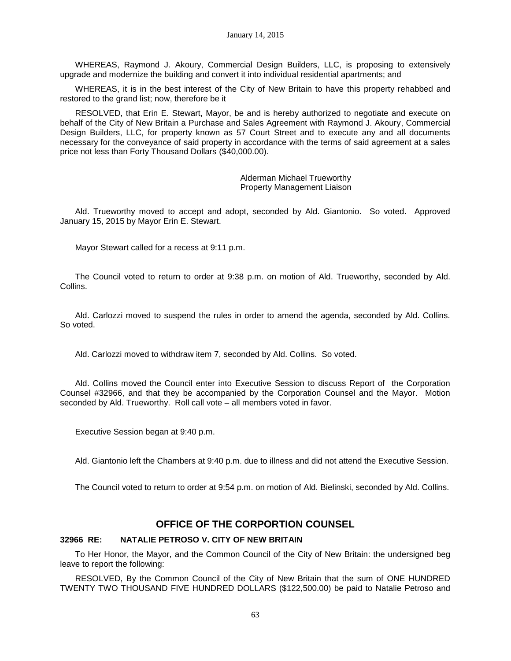WHEREAS, Raymond J. Akoury, Commercial Design Builders, LLC, is proposing to extensively upgrade and modernize the building and convert it into individual residential apartments; and

WHEREAS, it is in the best interest of the City of New Britain to have this property rehabbed and restored to the grand list; now, therefore be it

RESOLVED, that Erin E. Stewart, Mayor, be and is hereby authorized to negotiate and execute on behalf of the City of New Britain a Purchase and Sales Agreement with Raymond J. Akoury, Commercial Design Builders, LLC, for property known as 57 Court Street and to execute any and all documents necessary for the conveyance of said property in accordance with the terms of said agreement at a sales price not less than Forty Thousand Dollars (\$40,000.00).

> Alderman Michael Trueworthy Property Management Liaison

Ald. Trueworthy moved to accept and adopt, seconded by Ald. Giantonio. So voted. Approved January 15, 2015 by Mayor Erin E. Stewart.

Mayor Stewart called for a recess at 9:11 p.m.

The Council voted to return to order at 9:38 p.m. on motion of Ald. Trueworthy, seconded by Ald. Collins.

Ald. Carlozzi moved to suspend the rules in order to amend the agenda, seconded by Ald. Collins. So voted.

Ald. Carlozzi moved to withdraw item 7, seconded by Ald. Collins. So voted.

Ald. Collins moved the Council enter into Executive Session to discuss Report of the Corporation Counsel #32966, and that they be accompanied by the Corporation Counsel and the Mayor. Motion seconded by Ald. Trueworthy. Roll call vote – all members voted in favor.

Executive Session began at 9:40 p.m.

Ald. Giantonio left the Chambers at 9:40 p.m. due to illness and did not attend the Executive Session.

The Council voted to return to order at 9:54 p.m. on motion of Ald. Bielinski, seconded by Ald. Collins.

# **OFFICE OF THE CORPORTION COUNSEL**

#### **32966 RE: NATALIE PETROSO V. CITY OF NEW BRITAIN**

To Her Honor, the Mayor, and the Common Council of the City of New Britain: the undersigned beg leave to report the following:

RESOLVED, By the Common Council of the City of New Britain that the sum of ONE HUNDRED TWENTY TWO THOUSAND FIVE HUNDRED DOLLARS (\$122,500.00) be paid to Natalie Petroso and